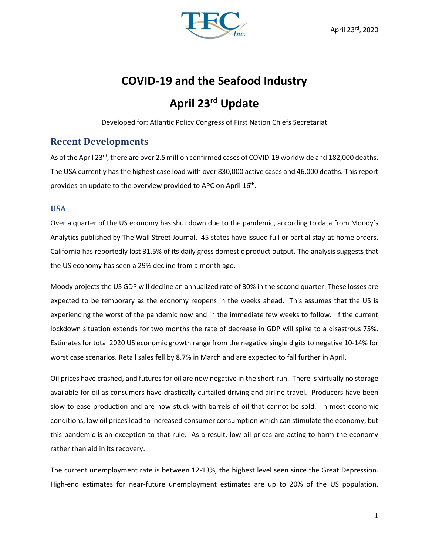

# **COVID-19 and the Seafood Industry**

# **April 23rd Update**

Developed for: Atlantic Policy Congress of First Nation Chiefs Secretariat

# **Recent Developments**

As of the April 23<sup>rd</sup>, there are over 2.5 million confirmed cases of COVID-19 worldwide and 182,000 deaths. The USA currently has the highest case load with over 830,000 active cases and 46,000 deaths. This report provides an update to the overview provided to APC on April  $16^{th}$ .

### **USA**

Over a quarter of the US economy has shut down due to the pandemic, according to data from Moody's Analytics published by The Wall Street Journal. 45 states have issued full or partial stay-at-home orders. California has reportedly lost 31.5% of its daily gross domestic product output. The analysis suggests that the US economy has seen a 29% decline from a month ago.

Moody projects the US GDP will decline an annualized rate of 30% in the second quarter. These losses are expected to be temporary as the economy reopens in the weeks ahead. This assumes that the US is experiencing the worst of the pandemic now and in the immediate few weeks to follow. If the current lockdown situation extends for two months the rate of decrease in GDP will spike to a disastrous 75%. Estimates for total 2020 US economic growth range from the negative single digits to negative 10-14% for worst case scenarios. Retail sales fell by 8.7% in March and are expected to fall further in April.

Oil prices have crashed, and futures for oil are now negative in the short-run. There is virtually no storage available for oil as consumers have drastically curtailed driving and airline travel. Producers have been slow to ease production and are now stuck with barrels of oil that cannot be sold. In most economic conditions, low oil prices lead to increased consumer consumption which can stimulate the economy, but this pandemic is an exception to that rule. As a result, low oil prices are acting to harm the economy rather than aid in its recovery.

The current unemployment rate is between 12-13%, the highest level seen since the Great Depression. High-end estimates for near-future unemployment estimates are up to 20% of the US population.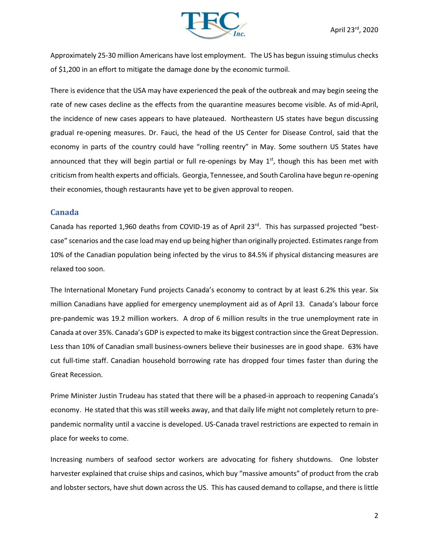

Approximately 25-30 million Americans have lost employment. The US has begun issuing stimulus checks of \$1,200 in an effort to mitigate the damage done by the economic turmoil.

There is evidence that the USA may have experienced the peak of the outbreak and may begin seeing the rate of new cases decline as the effects from the quarantine measures become visible. As of mid-April, the incidence of new cases appears to have plateaued. Northeastern US states have begun discussing gradual re-opening measures. Dr. Fauci, the head of the US Center for Disease Control, said that the economy in parts of the country could have "rolling reentry" in May. Some southern US States have announced that they will begin partial or full re-openings by May  $1<sup>st</sup>$ , though this has been met with criticism from health experts and officials. Georgia, Tennessee, and South Carolina have begun re-opening their economies, though restaurants have yet to be given approval to reopen.

### **Canada**

Canada has reported 1,960 deaths from COVID-19 as of April 23<sup>rd</sup>. This has surpassed projected "bestcase" scenarios and the case load may end up being higher than originally projected. Estimates range from 10% of the Canadian population being infected by the virus to 84.5% if physical distancing measures are relaxed too soon.

The International Monetary Fund projects Canada's economy to contract by at least 6.2% this year. Six million Canadians have applied for emergency unemployment aid as of April 13. Canada's labour force pre-pandemic was 19.2 million workers. A drop of 6 million results in the true unemployment rate in Canada at over 35%. Canada's GDP is expected to make its biggest contraction since the Great Depression. Less than 10% of Canadian small business-owners believe their businesses are in good shape. 63% have cut full-time staff. Canadian household borrowing rate has dropped four times faster than during the Great Recession.

Prime Minister Justin Trudeau has stated that there will be a phased-in approach to reopening Canada's economy. He stated that this was still weeks away, and that daily life might not completely return to prepandemic normality until a vaccine is developed. US-Canada travel restrictions are expected to remain in place for weeks to come.

Increasing numbers of seafood sector workers are advocating for fishery shutdowns. One lobster harvester explained that cruise ships and casinos, which buy "massive amounts" of product from the crab and lobster sectors, have shut down across the US. This has caused demand to collapse, and there is little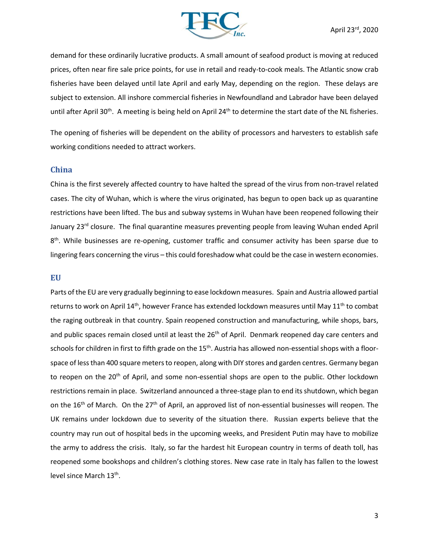

demand for these ordinarily lucrative products. A small amount of seafood product is moving at reduced prices, often near fire sale price points, for use in retail and ready-to-cook meals. The Atlantic snow crab fisheries have been delayed until late April and early May, depending on the region. These delays are subject to extension. All inshore commercial fisheries in Newfoundland and Labrador have been delayed until after April 30<sup>th</sup>. A meeting is being held on April 24<sup>th</sup> to determine the start date of the NL fisheries.

The opening of fisheries will be dependent on the ability of processors and harvesters to establish safe working conditions needed to attract workers.

#### **China**

China is the first severely affected country to have halted the spread of the virus from non-travel related cases. The city of Wuhan, which is where the virus originated, has begun to open back up as quarantine restrictions have been lifted. The bus and subway systems in Wuhan have been reopened following their January 23<sup>rd</sup> closure. The final quarantine measures preventing people from leaving Wuhan ended April 8<sup>th</sup>. While businesses are re-opening, customer traffic and consumer activity has been sparse due to lingering fears concerning the virus – this could foreshadow what could be the case in western economies.

#### **EU**

Parts of the EU are very gradually beginning to ease lockdown measures. Spain and Austria allowed partial returns to work on April 14<sup>th</sup>, however France has extended lockdown measures until May 11<sup>th</sup> to combat the raging outbreak in that country. Spain reopened construction and manufacturing, while shops, bars, and public spaces remain closed until at least the 26<sup>th</sup> of April. Denmark reopened day care centers and schools for children in first to fifth grade on the 15<sup>th</sup>. Austria has allowed non-essential shops with a floorspace of less than 400 square meters to reopen, along with DIY stores and garden centres. Germany began to reopen on the 20<sup>th</sup> of April, and some non-essential shops are open to the public. Other lockdown restrictions remain in place. Switzerland announced a three-stage plan to end its shutdown, which began on the 16<sup>th</sup> of March. On the 27<sup>th</sup> of April, an approved list of non-essential businesses will reopen. The UK remains under lockdown due to severity of the situation there. Russian experts believe that the country may run out of hospital beds in the upcoming weeks, and President Putin may have to mobilize the army to address the crisis. Italy, so far the hardest hit European country in terms of death toll, has reopened some bookshops and children's clothing stores. New case rate in Italy has fallen to the lowest level since March 13<sup>th</sup>.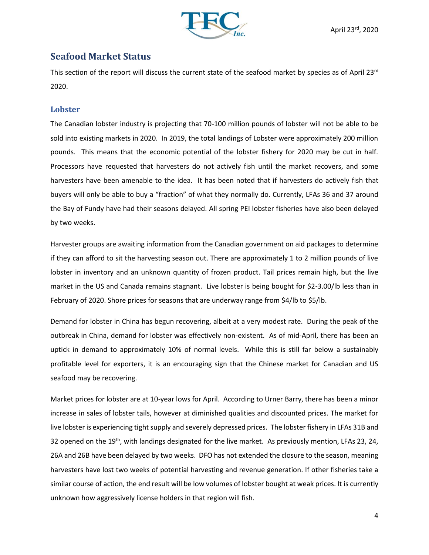

# **Seafood Market Status**

This section of the report will discuss the current state of the seafood market by species as of April 23rd 2020.

### **Lobster**

The Canadian lobster industry is projecting that 70-100 million pounds of lobster will not be able to be sold into existing markets in 2020. In 2019, the total landings of Lobster were approximately 200 million pounds. This means that the economic potential of the lobster fishery for 2020 may be cut in half. Processors have requested that harvesters do not actively fish until the market recovers, and some harvesters have been amenable to the idea. It has been noted that if harvesters do actively fish that buyers will only be able to buy a "fraction" of what they normally do. Currently, LFAs 36 and 37 around the Bay of Fundy have had their seasons delayed. All spring PEI lobster fisheries have also been delayed by two weeks.

Harvester groups are awaiting information from the Canadian government on aid packages to determine if they can afford to sit the harvesting season out. There are approximately 1 to 2 million pounds of live lobster in inventory and an unknown quantity of frozen product. Tail prices remain high, but the live market in the US and Canada remains stagnant. Live lobster is being bought for \$2-3.00/lb less than in February of 2020. Shore prices for seasons that are underway range from \$4/lb to \$5/lb.

Demand for lobster in China has begun recovering, albeit at a very modest rate. During the peak of the outbreak in China, demand for lobster was effectively non-existent. As of mid-April, there has been an uptick in demand to approximately 10% of normal levels. While this is still far below a sustainably profitable level for exporters, it is an encouraging sign that the Chinese market for Canadian and US seafood may be recovering.

Market prices for lobster are at 10-year lows for April. According to Urner Barry, there has been a minor increase in sales of lobster tails, however at diminished qualities and discounted prices. The market for live lobster is experiencing tight supply and severely depressed prices. The lobster fishery in LFAs 31B and 32 opened on the 19<sup>th</sup>, with landings designated for the live market. As previously mention, LFAs 23, 24, 26A and 26B have been delayed by two weeks. DFO has not extended the closure to the season, meaning harvesters have lost two weeks of potential harvesting and revenue generation. If other fisheries take a similar course of action, the end result will be low volumes of lobster bought at weak prices. It is currently unknown how aggressively license holders in that region will fish.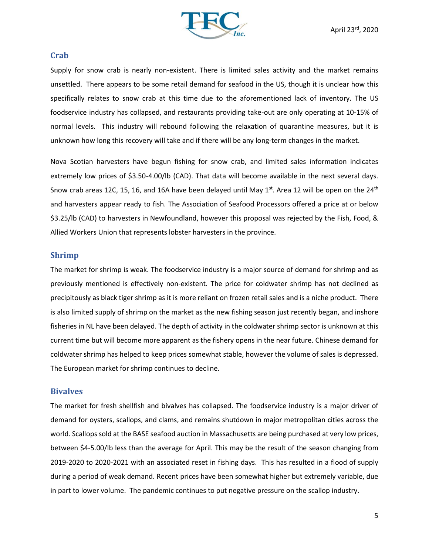

#### **Crab**

Supply for snow crab is nearly non-existent. There is limited sales activity and the market remains unsettled. There appears to be some retail demand for seafood in the US, though it is unclear how this specifically relates to snow crab at this time due to the aforementioned lack of inventory. The US foodservice industry has collapsed, and restaurants providing take-out are only operating at 10-15% of normal levels. This industry will rebound following the relaxation of quarantine measures, but it is unknown how long this recovery will take and if there will be any long-term changes in the market.

Nova Scotian harvesters have begun fishing for snow crab, and limited sales information indicates extremely low prices of \$3.50-4.00/lb (CAD). That data will become available in the next several days. Snow crab areas 12C, 15, 16, and 16A have been delayed until May 1<sup>st</sup>. Area 12 will be open on the 24<sup>th</sup> and harvesters appear ready to fish. The Association of Seafood Processors offered a price at or below \$3.25/lb (CAD) to harvesters in Newfoundland, however this proposal was rejected by the Fish, Food, & Allied Workers Union that represents lobster harvesters in the province.

#### **Shrimp**

The market for shrimp is weak. The foodservice industry is a major source of demand for shrimp and as previously mentioned is effectively non-existent. The price for coldwater shrimp has not declined as precipitously as black tiger shrimp as it is more reliant on frozen retail sales and is a niche product. There is also limited supply of shrimp on the market as the new fishing season just recently began, and inshore fisheries in NL have been delayed. The depth of activity in the coldwater shrimp sector is unknown at this current time but will become more apparent as the fishery opens in the near future. Chinese demand for coldwater shrimp has helped to keep prices somewhat stable, however the volume of sales is depressed. The European market for shrimp continues to decline.

#### **Bivalves**

The market for fresh shellfish and bivalves has collapsed. The foodservice industry is a major driver of demand for oysters, scallops, and clams, and remains shutdown in major metropolitan cities across the world. Scallops sold at the BASE seafood auction in Massachusetts are being purchased at very low prices, between \$4-5.00/lb less than the average for April. This may be the result of the season changing from 2019-2020 to 2020-2021 with an associated reset in fishing days. This has resulted in a flood of supply during a period of weak demand. Recent prices have been somewhat higher but extremely variable, due in part to lower volume. The pandemic continues to put negative pressure on the scallop industry.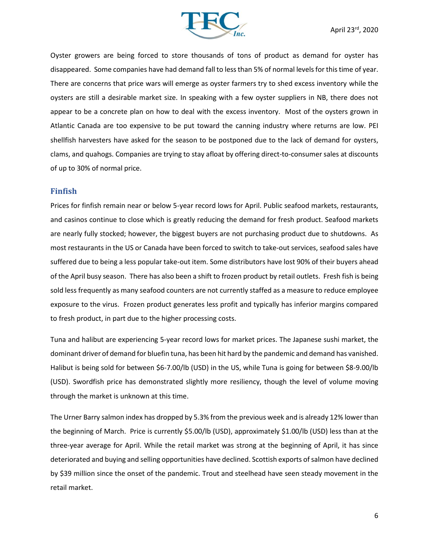

Oyster growers are being forced to store thousands of tons of product as demand for oyster has disappeared. Some companies have had demand fall to less than 5% of normal levels for this time of year. There are concerns that price wars will emerge as oyster farmers try to shed excess inventory while the oysters are still a desirable market size. In speaking with a few oyster suppliers in NB, there does not appear to be a concrete plan on how to deal with the excess inventory. Most of the oysters grown in Atlantic Canada are too expensive to be put toward the canning industry where returns are low. PEI shellfish harvesters have asked for the season to be postponed due to the lack of demand for oysters, clams, and quahogs. Companies are trying to stay afloat by offering direct-to-consumer sales at discounts of up to 30% of normal price.

#### **Finfish**

Prices for finfish remain near or below 5-year record lows for April. Public seafood markets, restaurants, and casinos continue to close which is greatly reducing the demand for fresh product. Seafood markets are nearly fully stocked; however, the biggest buyers are not purchasing product due to shutdowns. As most restaurants in the US or Canada have been forced to switch to take-out services, seafood sales have suffered due to being a less popular take-out item. Some distributors have lost 90% of their buyers ahead of the April busy season. There has also been a shift to frozen product by retail outlets. Fresh fish is being sold less frequently as many seafood counters are not currently staffed as a measure to reduce employee exposure to the virus. Frozen product generates less profit and typically has inferior margins compared to fresh product, in part due to the higher processing costs.

Tuna and halibut are experiencing 5-year record lows for market prices. The Japanese sushi market, the dominant driver of demand for bluefin tuna, has been hit hard by the pandemic and demand has vanished. Halibut is being sold for between \$6-7.00/lb (USD) in the US, while Tuna is going for between \$8-9.00/lb (USD). Swordfish price has demonstrated slightly more resiliency, though the level of volume moving through the market is unknown at this time.

The Urner Barry salmon index has dropped by 5.3% from the previous week and is already 12% lower than the beginning of March. Price is currently \$5.00/lb (USD), approximately \$1.00/lb (USD) less than at the three-year average for April. While the retail market was strong at the beginning of April, it has since deteriorated and buying and selling opportunities have declined. Scottish exports of salmon have declined by \$39 million since the onset of the pandemic. Trout and steelhead have seen steady movement in the retail market.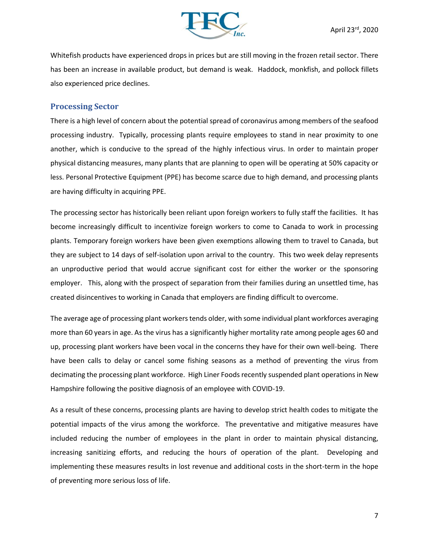

Whitefish products have experienced drops in prices but are still moving in the frozen retail sector. There has been an increase in available product, but demand is weak. Haddock, monkfish, and pollock fillets also experienced price declines.

### **Processing Sector**

There is a high level of concern about the potential spread of coronavirus among members of the seafood processing industry. Typically, processing plants require employees to stand in near proximity to one another, which is conducive to the spread of the highly infectious virus. In order to maintain proper physical distancing measures, many plants that are planning to open will be operating at 50% capacity or less. Personal Protective Equipment (PPE) has become scarce due to high demand, and processing plants are having difficulty in acquiring PPE.

The processing sector has historically been reliant upon foreign workers to fully staff the facilities. It has become increasingly difficult to incentivize foreign workers to come to Canada to work in processing plants. Temporary foreign workers have been given exemptions allowing them to travel to Canada, but they are subject to 14 days of self-isolation upon arrival to the country. This two week delay represents an unproductive period that would accrue significant cost for either the worker or the sponsoring employer. This, along with the prospect of separation from their families during an unsettled time, has created disincentives to working in Canada that employers are finding difficult to overcome.

The average age of processing plant workers tends older, with some individual plant workforces averaging more than 60 years in age. As the virus has a significantly higher mortality rate among people ages 60 and up, processing plant workers have been vocal in the concerns they have for their own well-being. There have been calls to delay or cancel some fishing seasons as a method of preventing the virus from decimating the processing plant workforce. High Liner Foods recently suspended plant operations in New Hampshire following the positive diagnosis of an employee with COVID-19.

As a result of these concerns, processing plants are having to develop strict health codes to mitigate the potential impacts of the virus among the workforce. The preventative and mitigative measures have included reducing the number of employees in the plant in order to maintain physical distancing, increasing sanitizing efforts, and reducing the hours of operation of the plant. Developing and implementing these measures results in lost revenue and additional costs in the short-term in the hope of preventing more serious loss of life.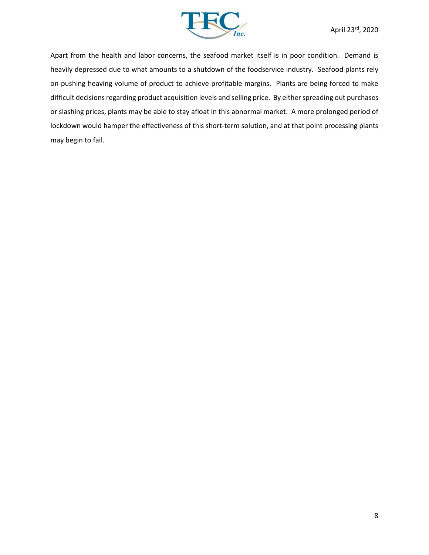

Apart from the health and labor concerns, the seafood market itself is in poor condition. Demand is heavily depressed due to what amounts to a shutdown of the foodservice industry. Seafood plants rely on pushing heaving volume of product to achieve profitable margins. Plants are being forced to make difficult decisions regarding product acquisition levels and selling price. By either spreading out purchases or slashing prices, plants may be able to stay afloat in this abnormal market. A more prolonged period of lockdown would hamper the effectiveness of this short-term solution, and at that point processing plants may begin to fail.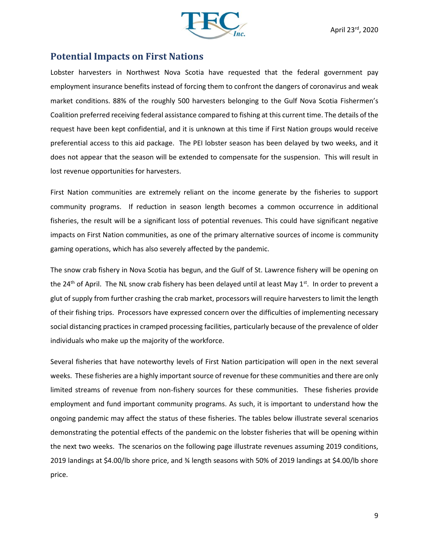

## **Potential Impacts on First Nations**

Lobster harvesters in Northwest Nova Scotia have requested that the federal government pay employment insurance benefits instead of forcing them to confront the dangers of coronavirus and weak market conditions. 88% of the roughly 500 harvesters belonging to the Gulf Nova Scotia Fishermen's Coalition preferred receiving federal assistance compared to fishing at this current time. The details of the request have been kept confidential, and it is unknown at this time if First Nation groups would receive preferential access to this aid package. The PEI lobster season has been delayed by two weeks, and it does not appear that the season will be extended to compensate for the suspension. This will result in lost revenue opportunities for harvesters.

First Nation communities are extremely reliant on the income generate by the fisheries to support community programs. If reduction in season length becomes a common occurrence in additional fisheries, the result will be a significant loss of potential revenues. This could have significant negative impacts on First Nation communities, as one of the primary alternative sources of income is community gaming operations, which has also severely affected by the pandemic.

The snow crab fishery in Nova Scotia has begun, and the Gulf of St. Lawrence fishery will be opening on the 24<sup>th</sup> of April. The NL snow crab fishery has been delayed until at least May 1<sup>st</sup>. In order to prevent a glut of supply from further crashing the crab market, processors will require harvesters to limit the length of their fishing trips. Processors have expressed concern over the difficulties of implementing necessary social distancing practices in cramped processing facilities, particularly because of the prevalence of older individuals who make up the majority of the workforce.

Several fisheries that have noteworthy levels of First Nation participation will open in the next several weeks. These fisheries are a highly important source of revenue for these communities and there are only limited streams of revenue from non-fishery sources for these communities. These fisheries provide employment and fund important community programs. As such, it is important to understand how the ongoing pandemic may affect the status of these fisheries. The tables below illustrate several scenarios demonstrating the potential effects of the pandemic on the lobster fisheries that will be opening within the next two weeks. The scenarios on the following page illustrate revenues assuming 2019 conditions, 2019 landings at \$4.00/lb shore price, and ¾ length seasons with 50% of 2019 landings at \$4.00/lb shore price.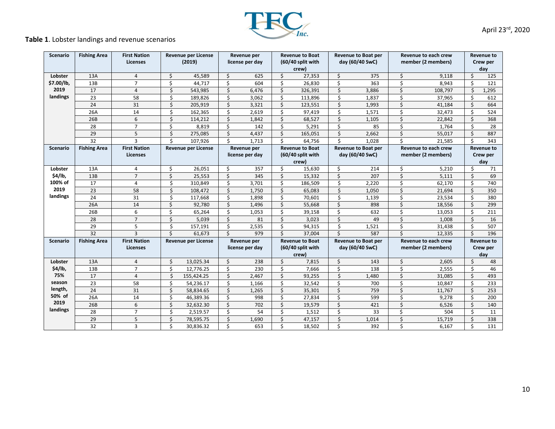# **Table 1**. Lobster landings and revenue scenarios

| <b>Scenario</b> | <b>Fishing Area</b> | <b>First Nation</b><br><b>Licenses</b> | <b>Revenue per License</b><br>(2019) |                            | Revenue per<br>license per day |       | <b>Revenue to Boat</b><br>(60/40 split with<br>crew) |                   | Revenue to Boat per<br>day (60/40 SwC)        |       | Revenue to each crew<br>member (2 members) |                             | Revenue to<br>Crew per<br>day |       |  |
|-----------------|---------------------|----------------------------------------|--------------------------------------|----------------------------|--------------------------------|-------|------------------------------------------------------|-------------------|-----------------------------------------------|-------|--------------------------------------------|-----------------------------|-------------------------------|-------|--|
| Lobster         | 13A                 | $\overline{4}$                         | \$                                   | 45,589                     | $\boldsymbol{\zeta}$           | 625   | Ś.                                                   | 27,353            | Ś.                                            | 375   | \$                                         | 9,118                       | \$                            | 125   |  |
| \$7.00/lb,      | 13B                 | $\overline{7}$                         | \$                                   | 44,717                     | \$                             | 604   | \$                                                   | 26,830            | \$                                            | 363   | \$                                         | 8,943                       | \$                            | 121   |  |
| 2019            | 17                  | $\overline{4}$                         | \$                                   | 543,985                    | \$                             | 6,476 | \$                                                   | 326,391           | $\boldsymbol{\zeta}$                          | 3,886 | \$                                         | 108,797                     | Ś                             | 1,295 |  |
| landings        | 23                  | 58                                     | \$                                   | 189,826                    | \$                             | 3,062 | \$                                                   | 113,896           | \$                                            | 1,837 | \$                                         | 37,965                      | Ś                             | 612   |  |
|                 | 24                  | 31                                     | \$                                   | 205,919                    | \$                             | 3,321 | \$                                                   | 123,551           | \$                                            | 1,993 | \$                                         | 41,184                      | Ś                             | 664   |  |
|                 | 26A                 | 14                                     | \$                                   | 162,365                    | \$                             | 2,619 | \$                                                   | 97,419            | \$                                            | 1,571 | \$                                         | 32,473                      | \$                            | 524   |  |
|                 | 26B                 | 6                                      | \$                                   | 114,212                    | \$                             | 1,842 | \$                                                   | 68,527            | \$                                            | 1,105 | \$                                         | 22,842                      | \$                            | 368   |  |
|                 | 28                  | $\overline{7}$                         | \$                                   | 8,819                      | \$                             | 142   | \$                                                   | 5,291             | \$                                            | 85    | \$                                         | 1,764                       | Ś.                            | 28    |  |
|                 | 29                  | 5                                      | \$                                   | 275,085                    | \$                             | 4,437 | \$                                                   | 165,051           | \$                                            | 2,662 | \$                                         | 55,017                      | Ś.                            | 887   |  |
|                 | 32                  | 3                                      | \$                                   | 107,926                    | \$                             | 1,713 | \$                                                   | 64,756            | \$                                            | 1,028 | \$                                         | 21,585                      | Ś                             | 343   |  |
| <b>Scenario</b> | <b>Fishing Area</b> | <b>First Nation</b>                    |                                      | Revenue per License        | Revenue per<br>license per day |       | <b>Revenue to Boat</b>                               |                   | Revenue to Boat per                           |       |                                            | <b>Revenue to each crew</b> | <b>Revenue to</b><br>Crew per |       |  |
|                 |                     | <b>Licenses</b>                        |                                      |                            |                                |       |                                                      | (60/40 split with | day (60/40 SwC)                               |       | member (2 members)                         |                             |                               |       |  |
|                 |                     |                                        |                                      |                            |                                |       |                                                      | crew)             |                                               |       |                                            |                             |                               | day   |  |
| Lobster         | 13A                 | $\overline{4}$                         | \$                                   | 26,051                     | \$                             | 357   | \$                                                   | 15,630            | \$                                            | 214   | \$                                         | 5,210                       | \$                            | 71    |  |
| \$4/lb,         | 13B                 | $\overline{7}$                         | \$                                   | 25,553                     | \$                             | 345   | \$                                                   | 15,332            | $\boldsymbol{\zeta}$                          | 207   | \$                                         | 5,111                       | \$                            | 69    |  |
| 100% of         | 17                  | $\overline{4}$                         | \$                                   | 310,849                    | \$                             | 3,701 | \$                                                   | 186,509           | \$                                            | 2,220 | \$                                         | 62,170                      | \$                            | 740   |  |
| 2019            | 23                  | 58                                     | \$                                   | 108,472                    | \$                             | 1,750 | \$                                                   | 65,083            | \$                                            | 1,050 | \$                                         | 21,694                      | Ś.                            | 350   |  |
| landings        | 24                  | 31                                     | \$                                   | 117,668                    | \$                             | 1,898 | \$                                                   | 70,601            | \$                                            | 1,139 | \$                                         | 23,534                      | \$                            | 380   |  |
|                 | 26A                 | 14                                     | \$                                   | 92,780                     | \$                             | 1,496 | \$                                                   | 55,668            | \$                                            | 898   | \$                                         | 18,556                      | \$                            | 299   |  |
|                 | 26B                 | 6                                      | \$                                   | 65,264                     | \$                             | 1,053 | \$                                                   | 39,158            | $\overline{\mathsf{S}}$                       | 632   | \$                                         | 13,053                      | \$                            | 211   |  |
|                 | 28                  | $\overline{7}$                         | \$                                   | 5,039                      | $\zeta$                        | 81    | Ś.                                                   | 3,023             | \$                                            | 49    | \$                                         | 1,008                       | Ś.                            | 16    |  |
|                 | 29                  | 5                                      | \$                                   | 157,191                    | \$                             | 2,535 | \$                                                   | 94,315            | $\overline{\mathbf{S}}$                       | 1,521 | \$                                         | 31,438                      | Ś                             | 507   |  |
|                 | 32                  | $\overline{\mathbf{3}}$                | Ś.                                   | 61.673                     | Ś                              | 979   | \$                                                   | 37.004            | $\mathsf{\hat{S}}$                            | 587   | \$                                         | 12.335                      | Ś                             | 196   |  |
| Scenario        | <b>Fishing Area</b> | <b>First Nation</b><br>Licenses        |                                      | <b>Revenue per License</b> | Revenue per<br>license per day |       | <b>Revenue to Boat</b><br>(60/40 split with          |                   | <b>Revenue to Boat per</b><br>day (60/40 SwC) |       | Revenue to each crew<br>member (2 members) |                             | <b>Revenue to</b><br>Crew per |       |  |
|                 |                     |                                        |                                      |                            |                                |       |                                                      | crew)             |                                               |       |                                            |                             | day                           |       |  |
| Lobster         | 13A                 | 4                                      | \$                                   | 13,025.34                  | \$                             | 238   | \$                                                   | 7,815             | \$                                            | 143   | \$                                         | 2,605                       | \$                            | 48    |  |
| \$4/lb,         | 13B                 | $\overline{7}$                         | \$.                                  | 12.776.25                  | \$                             | 230   | \$                                                   | 7,666             | $\overline{\mathsf{S}}$                       | 138   | \$                                         | 2,555                       | \$                            | 46    |  |
| 75%             | 17                  | $\overline{4}$                         | \$                                   | 155,424.25                 | \$                             | 2,467 | \$                                                   | 93,255            | \$                                            | 1,480 | \$                                         | 31,085                      | \$                            | 493   |  |
| season          | 23                  | 58                                     | \$                                   | 54,236.17                  | \$                             | 1,166 | \$                                                   | 32,542            | \$                                            | 700   | \$                                         | 10,847                      | \$                            | 233   |  |
| length,         | 24                  | 31                                     | \$                                   | 58,834.65                  | \$                             | 1,265 | \$                                                   | 35,301            | \$                                            | 759   | \$                                         | 11,767                      | \$                            | 253   |  |
| 50% of          | 26A                 | 14                                     | \$.                                  | 46,389.36                  | \$                             | 998   | Ś.                                                   | 27,834            | \$                                            | 599   | \$                                         | 9,278                       | Ś                             | 200   |  |
| 2019            | 26B                 | 6                                      | \$                                   | 32,632.30                  | $\boldsymbol{\zeta}$           | 702   | Ś                                                    | 19,579            | \$                                            | 421   | \$                                         | 6,526                       | Ś.                            | 140   |  |
| landings        | 28                  | $\overline{7}$                         | Ś                                    | 2,519.57                   | \$                             | 54    | \$                                                   | 1,512             | \$                                            | 33    | \$                                         | 504                         | Ś                             | 11    |  |
|                 | 29                  | 5                                      | Ś                                    | 78,595.75                  | \$                             | 1,690 | \$                                                   | 47,157            | \$                                            | 1,014 | \$                                         | 15,719                      | Ś                             | 338   |  |
|                 | 32                  | 3                                      | \$.                                  | 30,836.32                  | Ś                              | 653   | Ś.                                                   | 18,502            | Ś.                                            | 392   | \$                                         | 6,167                       | Ś.                            | 131   |  |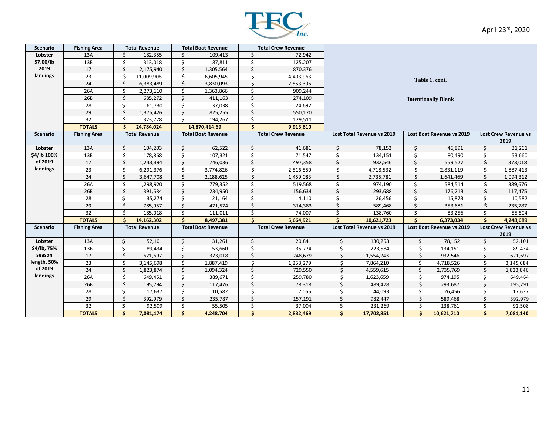

| <b>Scenario</b>        | <b>Fishing Area</b> | <b>Total Revenue</b> |            | <b>Total Boat Revenue</b> |                           | <b>Total Crew Revenue</b> |                           |                            |                            |                           |                           |                             |           |  |
|------------------------|---------------------|----------------------|------------|---------------------------|---------------------------|---------------------------|---------------------------|----------------------------|----------------------------|---------------------------|---------------------------|-----------------------------|-----------|--|
| Lobster                | 13A                 | Ś                    | 182,355    | Ś                         | 109,413                   | Ś                         | 72,942                    |                            |                            |                           |                           |                             |           |  |
| \$7.00/lb              | 13B                 | \$                   | 313,018    | Ś                         | 187,811                   | \$                        | 125,207                   |                            |                            |                           |                           |                             |           |  |
| 2019                   | 17                  | \$                   | 2,175,940  | \$                        | 1,305,564                 | Ś                         | 870,376                   |                            |                            |                           |                           |                             |           |  |
| landings               | 23                  | Ś.                   | 11,009,908 | \$                        | 6,605,945                 | Ś                         | 4,403,963                 |                            |                            |                           |                           |                             |           |  |
|                        | 24                  | \$                   | 6,383,489  | \$                        | 3,830,093                 | \$                        | 2,553,396                 | Table 1. cont.             |                            |                           |                           |                             |           |  |
|                        | 26A                 | \$                   | 2,273,110  | \$                        | 1,363,866                 | Ś                         | 909,244                   |                            |                            |                           |                           |                             |           |  |
|                        | 26B                 | \$                   | 685,272    | \$                        | 411,163                   | Ś                         | 274,109                   | <b>Intentionally Blank</b> |                            |                           |                           |                             |           |  |
|                        | 28                  | \$                   | 61,730     | Ś                         | 37,038                    | Ś                         | 24,692                    |                            |                            |                           |                           |                             |           |  |
|                        | 29                  | $\boldsymbol{\zeta}$ | 1,375,426  | Ś.                        | 825,255                   | Ś                         | 550,170                   |                            |                            |                           |                           |                             |           |  |
|                        | 32                  | \$                   | 323,778    | Ś.                        | 194,267                   | Ś                         | 129,511                   |                            |                            |                           |                           |                             |           |  |
|                        | <b>TOTALS</b>       | $\mathsf{s}$         | 24,784,024 |                           | 14,870,414.69             | Ś                         | 9,913,610                 |                            |                            |                           |                           |                             |           |  |
| <b>Scenario</b>        | <b>Fishing Area</b> | <b>Total Revenue</b> |            | <b>Total Boat Revenue</b> |                           | <b>Total Crew Revenue</b> |                           |                            | Lost Total Revenue vs 2019 |                           | Lost Boat Revenue vs 2019 | <b>Lost Crew Revenue vs</b> |           |  |
|                        |                     |                      |            |                           |                           |                           |                           |                            |                            |                           |                           | 2019                        |           |  |
| Lobster                | 13A                 | \$                   | 104,203    | Ś                         | 62,522                    | Ś.                        | 41,681                    | Ŝ.                         | 78,152                     | \$                        | 46,891                    | \$                          | 31,261    |  |
| \$4/lb 100%            | 13B                 | Ś                    | 178,868    | \$                        | 107,321                   | Ś                         | 71,547                    | Ś                          | 134,151                    | \$                        | 80,490                    | Ś                           | 53,660    |  |
| of 2019                | 17                  | $\frac{1}{2}$        | 1,243,394  | Ś                         | 746,036                   | Ś                         | 497,358                   | Ś                          | 932,546                    | \$                        | 559,527                   | Ś.                          | 373,018   |  |
| landings               | 23                  | \$                   | 6,291,376  | Ś.                        | 3,774,826                 | Ś.                        | 2,516,550                 | Ś                          | 4,718,532                  | Ś                         | 2,831,119                 | Ś.                          | 1,887,413 |  |
|                        | 24                  | Ś                    | 3,647,708  | \$                        | 2,188,625                 | Ś                         | 1,459,083                 | $\zeta$                    | 2,735,781                  | Ś                         | 1,641,469                 | Ś.                          | 1,094,312 |  |
|                        | 26A                 | \$                   | 1,298,920  | Ś.                        | 779,352                   | Ŝ.                        | 519,568                   | \$                         | 974,190                    | Ŝ.                        | 584,514                   | Ŝ.                          | 389,676   |  |
|                        | 26B                 | \$                   | 391,584    | \$                        | 234,950                   | \$                        | 156,634                   | Ś                          | 293,688                    | Ś.                        | 176,213                   | Ś.                          | 117,475   |  |
|                        | 28                  | \$                   | 35,274     | Ś                         | 21,164                    | \$                        | 14,110                    | Ś                          | 26,456                     | \$                        | 15,873                    | Ś.                          | 10,582    |  |
|                        | 29                  | \$                   | 785,957    | Ś.                        | 471,574                   | Ś                         | 314,383                   | Ś                          | 589,468                    | Ś                         | 353,681                   | Ś                           | 235,787   |  |
|                        | 32                  | Ś                    | 185,018    | Ś                         | 111,011                   | Ś                         | 74,007                    | \$                         | 138,760                    | Ś                         | 83,256                    | Ś                           | 55,504    |  |
|                        | <b>TOTALS</b>       | Ś                    | 14,162,302 | Ś.                        | 8,497,381                 | Ś                         | 5,664,921                 |                            | 10,621,723                 | Ś.                        | 6,373,034                 | $\mathsf{\hat{S}}$          | 4,248,689 |  |
| <b>Scenario</b>        | <b>Fishing Area</b> | <b>Total Revenue</b> |            |                           | <b>Total Boat Revenue</b> |                           | <b>Total Crew Revenue</b> |                            | Lost Total Revenue vs 2019 | Lost Boat Revenue vs 2019 |                           | <b>Lost Crew Revenue vs</b> |           |  |
|                        |                     |                      |            |                           |                           |                           |                           |                            |                            |                           |                           |                             | 2019      |  |
| Lobster                | 13A                 | \$                   | 52,101     | \$                        | 31,261                    | \$                        | 20,841                    | \$                         | 130,253                    | \$                        | 78,152                    | \$                          | 52,101    |  |
| \$4/lb, 75%            | 13B                 | \$                   | 89,434     | Ś                         | 53,660                    | \$                        | 35,774                    | \$                         | 223,584                    | Ś                         | 134,151                   | Ś                           | 89,434    |  |
| season                 | 17                  | Ś                    | 621,697    | Ś                         | 373,018                   | \$                        | 248,679                   | Ś                          | 1,554,243                  | Ś                         | 932,546                   | Ś                           | 621,697   |  |
| length, 50%<br>of 2019 | 23                  | \$                   | 3,145,698  | Ś                         | 1,887,419                 | \$                        | 1,258,279                 | Ś                          | 7,864,210                  | Ś                         | 4,718,526                 | Ś                           | 3,145,684 |  |
| landings               | 24                  | \$                   | 1,823,874  | Ś.                        | 1,094,324                 | Ś                         | 729,550                   | \$                         | 4,559,615                  | Ś                         | 2,735,769                 | \$                          | 1,823,846 |  |
|                        | 26A                 | Ś                    | 649,451    | Ś                         | 389,671                   | Ś                         | 259,780                   | Ś.                         | 1,623,659                  | Ś                         | 974,195                   | Ś                           | 649,464   |  |
|                        | 26B                 | \$                   | 195,794    | Ś                         | 117,476                   | Ś.                        | 78,318                    | \$                         | 489,478                    | Ś                         | 293,687                   | Ś                           | 195,791   |  |
|                        | 28                  | \$                   | 17,637     | Ś.                        | 10,582                    | Ś.                        | 7,055                     | Ś.                         | 44,093                     | Ś                         | 26,456                    | Ś                           | 17,637    |  |
|                        | 29                  | \$                   | 392,979    | \$                        | 235,787                   | Ś                         | 157,191                   | \$                         | 982,447                    | Ś                         | 589,468                   | Ś                           | 392,979   |  |
|                        | 32                  | \$                   | 92,509     | Ś                         | 55,505                    | Ś                         | 37,004                    | Ś                          | 231,269                    | $\zeta$                   | 138,761                   | Ś.                          | 92,508    |  |
|                        | <b>TOTALS</b>       | $\mathsf{s}$         | 7,081,174  | \$                        | 4,248,704                 | \$                        | 2,832,469                 | \$                         | 17,702,851                 | Ś                         | 10,621,710                | $\mathsf{\hat{S}}$          | 7,081,140 |  |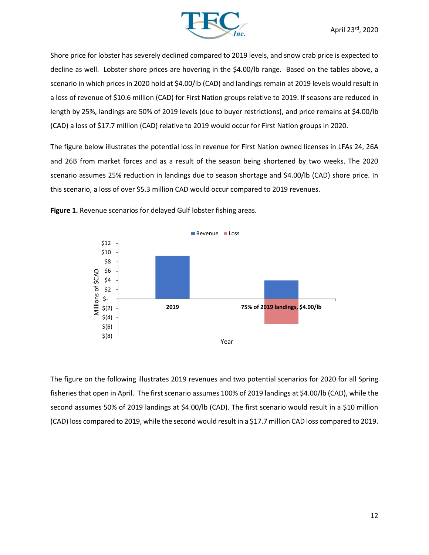

Shore price for lobster has severely declined compared to 2019 levels, and snow crab price is expected to decline as well. Lobster shore prices are hovering in the \$4.00/lb range. Based on the tables above, a scenario in which prices in 2020 hold at \$4.00/lb (CAD) and landings remain at 2019 levels would result in a loss of revenue of \$10.6 million (CAD) for First Nation groups relative to 2019. If seasons are reduced in length by 25%, landings are 50% of 2019 levels (due to buyer restrictions), and price remains at \$4.00/lb (CAD) a loss of \$17.7 million (CAD) relative to 2019 would occur for First Nation groups in 2020.

The figure below illustrates the potential loss in revenue for First Nation owned licenses in LFAs 24, 26A and 26B from market forces and as a result of the season being shortened by two weeks. The 2020 scenario assumes 25% reduction in landings due to season shortage and \$4.00/lb (CAD) shore price. In this scenario, a loss of over \$5.3 million CAD would occur compared to 2019 revenues.



**Figure 1.** Revenue scenarios for delayed Gulf lobster fishing areas.

The figure on the following illustrates 2019 revenues and two potential scenarios for 2020 for all Spring fisheries that open in April. The first scenario assumes 100% of 2019 landings at \$4.00/lb (CAD), while the second assumes 50% of 2019 landings at \$4.00/lb (CAD). The first scenario would result in a \$10 million (CAD) loss compared to 2019, while the second would result in a \$17.7 million CAD loss compared to 2019.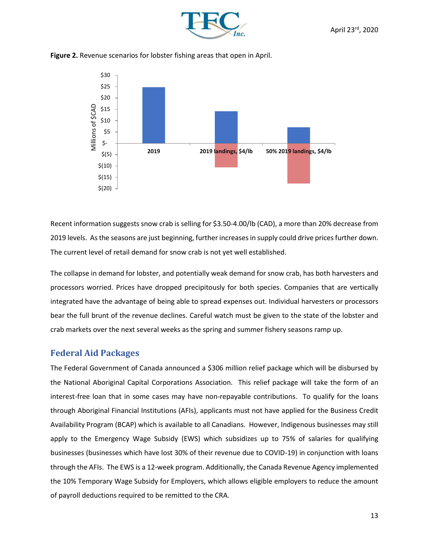

**Figure 2.** Revenue scenarios for lobster fishing areas that open in April.



Recent information suggests snow crab is selling for \$3.50-4.00/lb (CAD), a more than 20% decrease from 2019 levels. As the seasons are just beginning, further increases in supply could drive prices further down. The current level of retail demand for snow crab is not yet well established.

The collapse in demand for lobster, and potentially weak demand for snow crab, has both harvesters and processors worried. Prices have dropped precipitously for both species. Companies that are vertically integrated have the advantage of being able to spread expenses out. Individual harvesters or processors bear the full brunt of the revenue declines. Careful watch must be given to the state of the lobster and crab markets over the next several weeks as the spring and summer fishery seasons ramp up.

## **Federal Aid Packages**

The Federal Government of Canada announced a \$306 million relief package which will be disbursed by the National Aboriginal Capital Corporations Association. This relief package will take the form of an interest-free loan that in some cases may have non-repayable contributions. To qualify for the loans through Aboriginal Financial Institutions (AFIs), applicants must not have applied for the Business Credit Availability Program (BCAP) which is available to all Canadians. However, Indigenous businesses may still apply to the Emergency Wage Subsidy (EWS) which subsidizes up to 75% of salaries for qualifying businesses (businesses which have lost 30% of their revenue due to COVID-19) in conjunction with loans through the AFIs. The EWS is a 12-week program. Additionally, the Canada Revenue Agency implemented the 10% Temporary Wage Subsidy for Employers, which allows eligible employers to reduce the amount of payroll deductions required to be remitted to the CRA.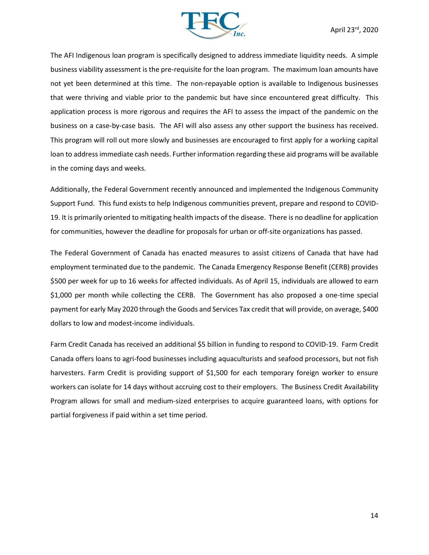

The AFI Indigenous loan program is specifically designed to address immediate liquidity needs. A simple business viability assessment is the pre-requisite for the loan program. The maximum loan amounts have not yet been determined at this time. The non-repayable option is available to Indigenous businesses that were thriving and viable prior to the pandemic but have since encountered great difficulty. This application process is more rigorous and requires the AFI to assess the impact of the pandemic on the business on a case-by-case basis. The AFI will also assess any other support the business has received. This program will roll out more slowly and businesses are encouraged to first apply for a working capital loan to address immediate cash needs. Further information regarding these aid programs will be available in the coming days and weeks.

Additionally, the Federal Government recently announced and implemented the Indigenous Community Support Fund. This fund exists to help Indigenous communities prevent, prepare and respond to COVID-19. It is primarily oriented to mitigating health impacts of the disease. There is no deadline for application for communities, however the deadline for proposals for urban or off-site organizations has passed.

The Federal Government of Canada has enacted measures to assist citizens of Canada that have had employment terminated due to the pandemic. The Canada Emergency Response Benefit (CERB) provides \$500 per week for up to 16 weeks for affected individuals. As of April 15, individuals are allowed to earn \$1,000 per month while collecting the CERB. The Government has also proposed a one-time special payment for early May 2020 through the Goods and Services Tax credit that will provide, on average, \$400 dollars to low and modest-income individuals.

Farm Credit Canada has received an additional \$5 billion in funding to respond to COVID-19. Farm Credit Canada offers loans to agri-food businesses including aquaculturists and seafood processors, but not fish harvesters. Farm Credit is providing support of \$1,500 for each temporary foreign worker to ensure workers can isolate for 14 days without accruing cost to their employers. The Business Credit Availability Program allows for small and medium-sized enterprises to acquire guaranteed loans, with options for partial forgiveness if paid within a set time period.